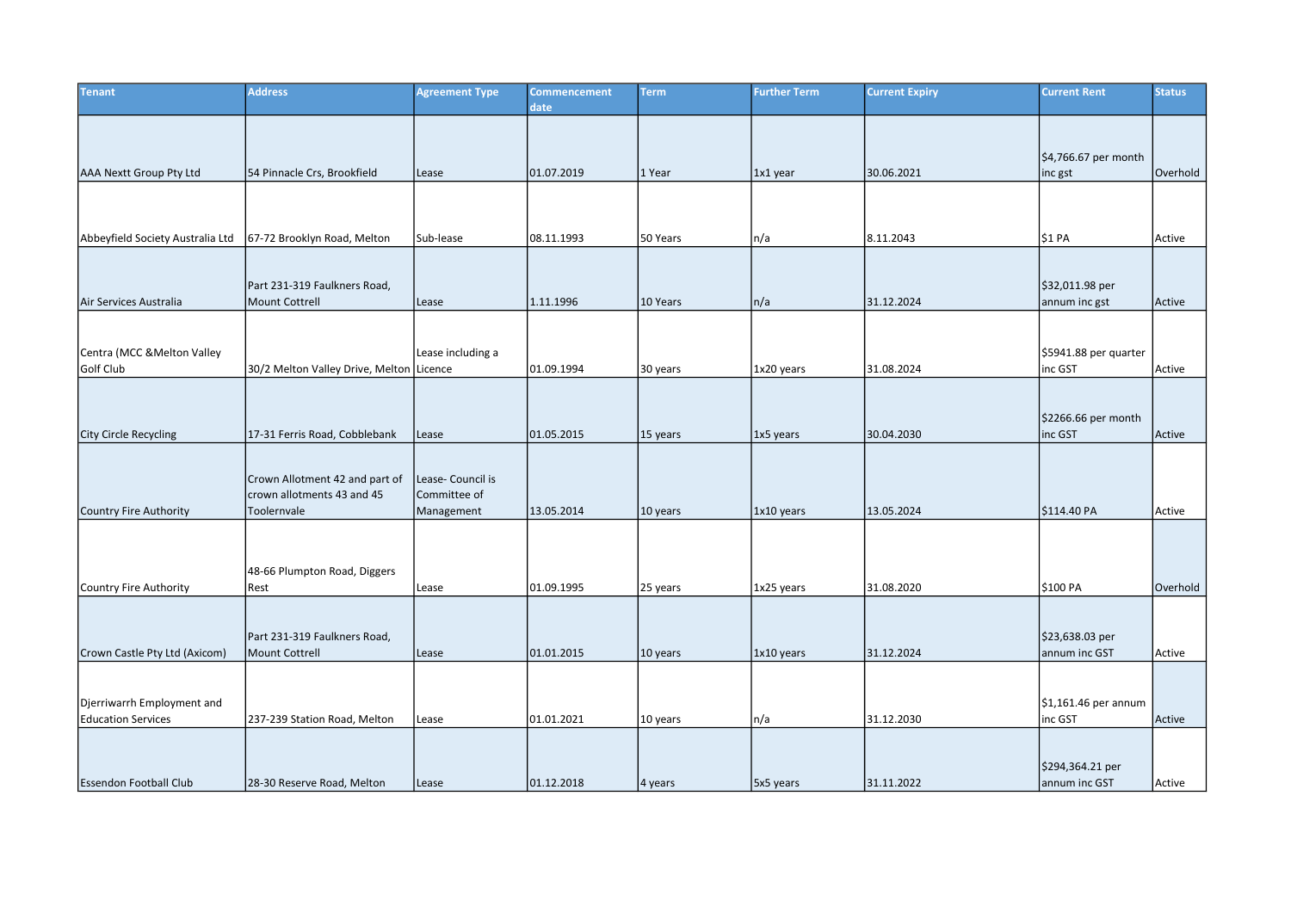| <b>Tenant</b>                            | <b>Address</b>                           | <b>Agreement Type</b> | <b>Commencement</b><br>date | <b>Term</b> | <b>Further Term</b> | <b>Current Expiry</b> | <b>Current Rent</b>              | <b>Status</b> |
|------------------------------------------|------------------------------------------|-----------------------|-----------------------------|-------------|---------------------|-----------------------|----------------------------------|---------------|
|                                          |                                          |                       |                             |             |                     |                       |                                  |               |
|                                          |                                          |                       |                             |             |                     |                       | \$4,766.67 per month             |               |
| AAA Nextt Group Pty Ltd                  | 54 Pinnacle Crs, Brookfield              | Lease                 | 01.07.2019                  | 1 Year      | 1x1 year            | 30.06.2021            | inc gst                          | Overhold      |
|                                          |                                          |                       |                             |             |                     |                       |                                  |               |
|                                          |                                          |                       |                             |             |                     |                       |                                  |               |
| Abbeyfield Society Australia Ltd         | 67-72 Brooklyn Road, Melton              | Sub-lease             | 08.11.1993                  | 50 Years    | n/a                 | 8.11.2043             | \$1 PA                           | Active        |
|                                          |                                          |                       |                             |             |                     |                       |                                  |               |
| Air Services Australia                   | Part 231-319 Faulkners Road,             |                       |                             |             |                     |                       | \$32,011.98 per                  |               |
|                                          | <b>Mount Cottrell</b>                    | Lease                 | 1.11.1996                   | 10 Years    | n/a                 | 31.12.2024            | annum inc gst                    | Active        |
|                                          |                                          |                       |                             |             |                     |                       |                                  |               |
| Centra (MCC & Melton Valley<br>Golf Club | 30/2 Melton Valley Drive, Melton Licence | Lease including a     | 01.09.1994                  |             | 1x20 years          | 31.08.2024            | \$5941.88 per quarter<br>inc GST |               |
|                                          |                                          |                       |                             | 30 years    |                     |                       |                                  | Active        |
|                                          |                                          |                       |                             |             |                     |                       |                                  |               |
| <b>City Circle Recycling</b>             | 17-31 Ferris Road, Cobblebank            | Lease                 | 01.05.2015                  | 15 years    | 1x5 years           | 30.04.2030            | \$2266.66 per month<br>inc GST   | Active        |
|                                          |                                          |                       |                             |             |                     |                       |                                  |               |
|                                          | Crown Allotment 42 and part of           | Lease- Council is     |                             |             |                     |                       |                                  |               |
|                                          | crown allotments 43 and 45               | Committee of          |                             |             |                     |                       |                                  |               |
| Country Fire Authority                   | Toolernvale                              | Management            | 13.05.2014                  | 10 years    | 1x10 years          | 13.05.2024            | \$114.40 PA                      | Active        |
|                                          |                                          |                       |                             |             |                     |                       |                                  |               |
|                                          | 48-66 Plumpton Road, Diggers             |                       |                             |             |                     |                       |                                  |               |
| Country Fire Authority                   | Rest                                     | Lease                 | 01.09.1995                  | 25 years    | 1x25 years          | 31.08.2020            | \$100 PA                         | Overhold      |
|                                          |                                          |                       |                             |             |                     |                       |                                  |               |
|                                          | Part 231-319 Faulkners Road,             |                       |                             |             |                     |                       | \$23,638.03 per                  |               |
| Crown Castle Pty Ltd (Axicom)            | <b>Mount Cottrell</b>                    | Lease                 | 01.01.2015                  | 10 years    | 1x10 years          | 31.12.2024            | annum inc GST                    | Active        |
|                                          |                                          |                       |                             |             |                     |                       |                                  |               |
| Djerriwarrh Employment and               |                                          |                       |                             |             |                     |                       | $$1,161.46$ per annum            |               |
| <b>Education Services</b>                | 237-239 Station Road, Melton             | Lease                 | 101.01.2021                 | 10 years    | n/a                 | 31.12.2030            | inc GST                          | Active        |
|                                          |                                          |                       |                             |             |                     |                       |                                  |               |
|                                          |                                          |                       |                             |             |                     |                       | \$294,364.21 per                 |               |
| <b>Essendon Football Club</b>            | 28-30 Reserve Road, Melton               | Lease                 | 01.12.2018                  | 4 years     | 5x5 years           | 31.11.2022            | annum inc GST                    | Active        |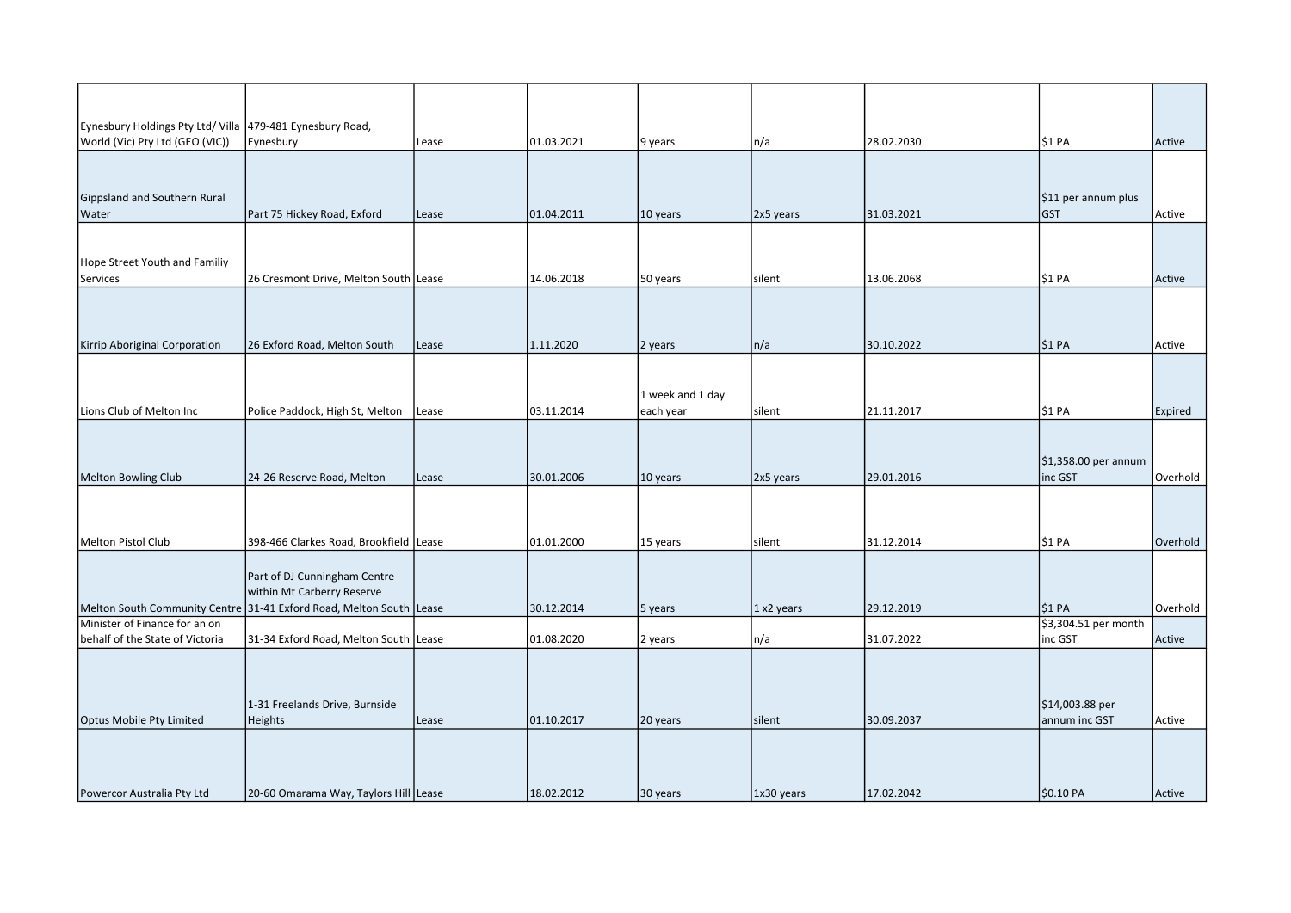| Eynesbury Holdings Pty Ltd/ Villa 479-481 Eynesbury Road, |                                                                                                   |       |            |                  |            |            |                      |          |
|-----------------------------------------------------------|---------------------------------------------------------------------------------------------------|-------|------------|------------------|------------|------------|----------------------|----------|
| World (Vic) Pty Ltd (GEO (VIC))                           | Eynesbury                                                                                         | Lease | 01.03.2021 | 9 years          | n/a        | 28.02.2030 | \$1 PA               | Active   |
|                                                           |                                                                                                   |       |            |                  |            |            |                      |          |
|                                                           |                                                                                                   |       |            |                  |            |            |                      |          |
| Gippsland and Southern Rural                              |                                                                                                   |       |            |                  |            |            | \$11 per annum plus  |          |
| <b>Water</b>                                              | Part 75 Hickey Road, Exford                                                                       | Lease | 01.04.2011 | 10 years         | 2x5 years  | 31.03.2021 | <b>GST</b>           | Active   |
|                                                           |                                                                                                   |       |            |                  |            |            |                      |          |
|                                                           |                                                                                                   |       |            |                  |            |            |                      |          |
| Hope Street Youth and Familiy                             |                                                                                                   |       |            |                  |            |            |                      |          |
| Services                                                  | 26 Cresmont Drive, Melton South Lease                                                             |       | 14.06.2018 | 50 years         | silent     | 13.06.2068 | \$1 PA               | Active   |
|                                                           |                                                                                                   |       |            |                  |            |            |                      |          |
|                                                           |                                                                                                   |       |            |                  |            |            |                      |          |
|                                                           |                                                                                                   |       |            |                  |            | 30.10.2022 |                      |          |
| Kirrip Aboriginal Corporation                             | 26 Exford Road, Melton South                                                                      | Lease | 1.11.2020  | 2 years          | n/a        |            | \$1 PA               | Active   |
|                                                           |                                                                                                   |       |            |                  |            |            |                      |          |
|                                                           |                                                                                                   |       |            | 1 week and 1 day |            |            |                      |          |
| Lions Club of Melton Inc                                  | Police Paddock, High St, Melton                                                                   | Lease | 03.11.2014 | each year        | silent     | 21.11.2017 | \$1 PA               | Expired  |
|                                                           |                                                                                                   |       |            |                  |            |            |                      |          |
|                                                           |                                                                                                   |       |            |                  |            |            |                      |          |
|                                                           |                                                                                                   |       |            |                  |            |            | \$1,358.00 per annum |          |
| Melton Bowling Club                                       | 24-26 Reserve Road, Melton                                                                        | Lease | 30.01.2006 | 10 years         | 2x5 years  | 29.01.2016 | inc GST              | Overhold |
|                                                           |                                                                                                   |       |            |                  |            |            |                      |          |
|                                                           |                                                                                                   |       |            |                  |            |            |                      |          |
|                                                           |                                                                                                   |       |            |                  |            |            |                      |          |
| Melton Pistol Club                                        | 398-466 Clarkes Road, Brookfield Lease                                                            |       | 01.01.2000 | 15 years         | silent     | 31.12.2014 | \$1 PA               | Overhold |
|                                                           |                                                                                                   |       |            |                  |            |            |                      |          |
|                                                           | Part of DJ Cunningham Centre                                                                      |       |            |                  |            |            |                      |          |
|                                                           | within Mt Carberry Reserve<br>Melton South Community Centre 31-41 Exford Road, Melton South Lease |       | 30.12.2014 |                  | 1 x2 years | 29.12.2019 | \$1 PA               | Overhold |
| Minister of Finance for an on                             |                                                                                                   |       |            | 5 years          |            |            | \$3,304.51 per month |          |
| behalf of the State of Victoria                           | 31-34 Exford Road, Melton South Lease                                                             |       | 01.08.2020 | 2 years          | n/a        | 31.07.2022 | inc GST              | Active   |
|                                                           |                                                                                                   |       |            |                  |            |            |                      |          |
|                                                           |                                                                                                   |       |            |                  |            |            |                      |          |
|                                                           |                                                                                                   |       |            |                  |            |            |                      |          |
|                                                           | 1-31 Freelands Drive, Burnside                                                                    |       |            |                  |            |            | \$14,003.88 per      |          |
| Optus Mobile Pty Limited                                  | <b>Heights</b>                                                                                    | Lease | 01.10.2017 | 20 years         | silent     | 30.09.2037 | annum inc GST        | Active   |
|                                                           |                                                                                                   |       |            |                  |            |            |                      |          |
|                                                           |                                                                                                   |       |            |                  |            |            |                      |          |
|                                                           |                                                                                                   |       |            |                  |            |            |                      |          |
| Powercor Australia Pty Ltd                                | 20-60 Omarama Way, Taylors Hill Lease                                                             |       | 18.02.2012 | 30 years         | 1x30 years | 17.02.2042 | \$0.10 PA            | Active   |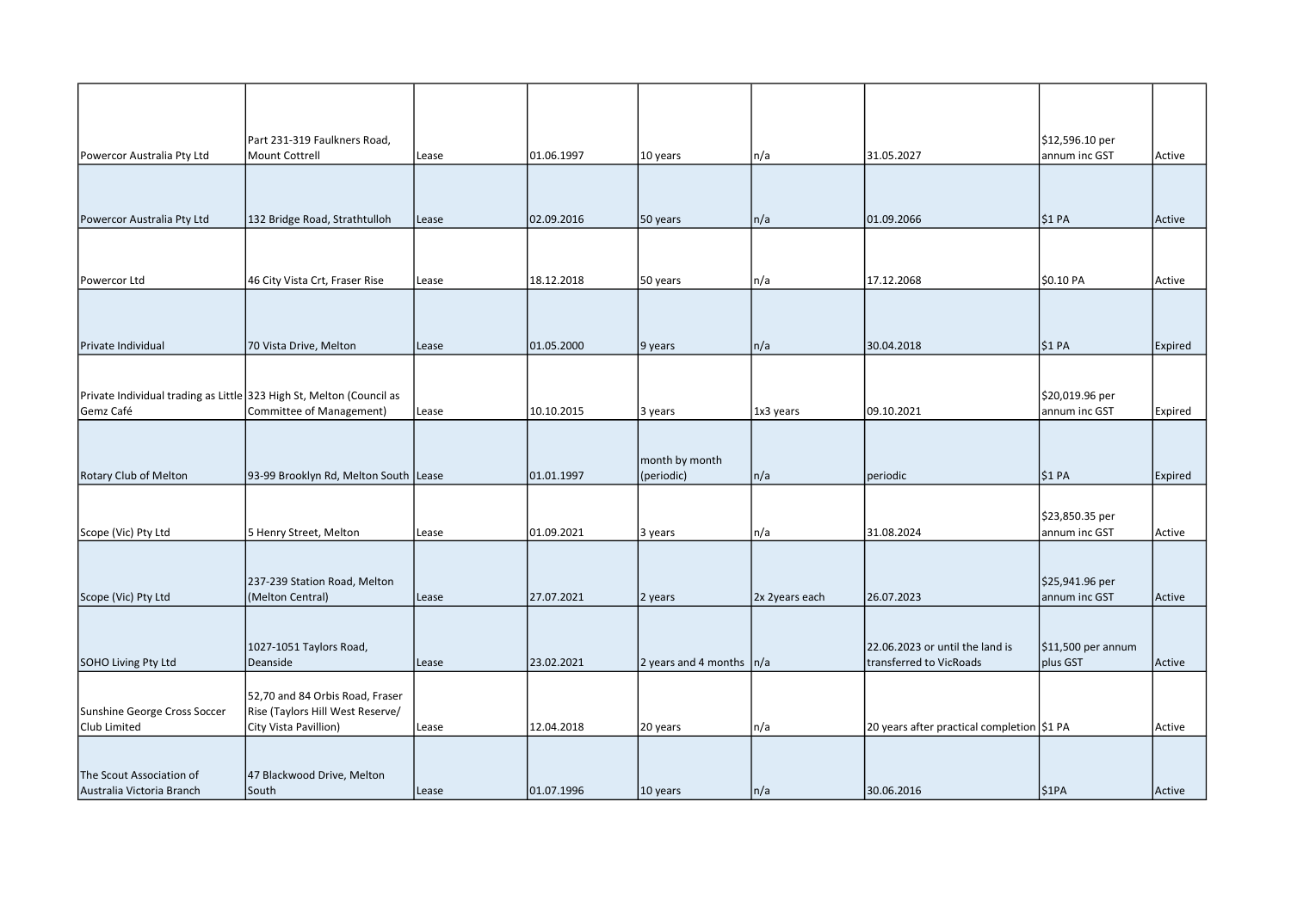| Powercor Australia Pty Ltd                                                        | Part 231-319 Faulkners Road,<br><b>Mount Cottrell</b>                                        | Lease | 01.06.1997 | 10 years                     | n/a            | 31.05.2027                                                 | \$12,596.10 per<br>annum inc GST | Active  |
|-----------------------------------------------------------------------------------|----------------------------------------------------------------------------------------------|-------|------------|------------------------------|----------------|------------------------------------------------------------|----------------------------------|---------|
|                                                                                   |                                                                                              |       |            |                              |                |                                                            |                                  |         |
| Powercor Australia Pty Ltd                                                        | 132 Bridge Road, Strathtulloh                                                                | Lease | 02.09.2016 | 50 years                     | n/a            | 01.09.2066                                                 | \$1 PA                           | Active  |
|                                                                                   |                                                                                              |       |            |                              |                |                                                            |                                  |         |
| Powercor Ltd                                                                      | 46 City Vista Crt, Fraser Rise                                                               | Lease | 18.12.2018 | 50 years                     | n/a            | 17.12.2068                                                 | \$0.10 PA                        | Active  |
|                                                                                   |                                                                                              |       |            |                              |                |                                                            |                                  |         |
| Private Individual                                                                | 70 Vista Drive, Melton                                                                       | Lease | 01.05.2000 | 9 years                      | n/a            | 30.04.2018                                                 | <b>\$1 PA</b>                    | Expired |
| Private Individual trading as Little 323 High St, Melton (Council as<br>Gemz Café | Committee of Management)                                                                     | Lease | 10.10.2015 | 3 years                      | 1x3 years      | 09.10.2021                                                 | \$20,019.96 per<br>annum inc GST | Expired |
| Rotary Club of Melton                                                             | 93-99 Brooklyn Rd, Melton South Lease                                                        |       | 01.01.1997 | month by month<br>(periodic) | n/a            | periodic                                                   | \$1 PA                           | Expired |
| Scope (Vic) Pty Ltd                                                               | 5 Henry Street, Melton                                                                       | Lease | 01.09.2021 | 3 years                      | n/a            | 31.08.2024                                                 | \$23,850.35 per<br>annum inc GST | Active  |
| Scope (Vic) Pty Ltd                                                               | 237-239 Station Road, Melton<br>(Melton Central)                                             | Lease | 27.07.2021 | 2 years                      | 2x 2years each | 26.07.2023                                                 | \$25,941.96 per<br>annum inc GST | Active  |
| <b>SOHO Living Pty Ltd</b>                                                        | 1027-1051 Taylors Road,<br>Deanside                                                          | Lease | 23.02.2021 | 2 years and 4 months         | n/a            | 22.06.2023 or until the land is<br>transferred to VicRoads | $$11,500$ per annum<br>plus GST  | Active  |
| Sunshine George Cross Soccer<br>Club Limited                                      | 52,70 and 84 Orbis Road, Fraser<br>Rise (Taylors Hill West Reserve/<br>City Vista Pavillion) | Lease | 12.04.2018 | 20 years                     | n/a            | 20 years after practical completion \$1 PA                 |                                  | Active  |
| The Scout Association of<br>Australia Victoria Branch                             | 47 Blackwood Drive, Melton<br>South                                                          | Lease | 01.07.1996 | 10 years                     | n/a            | 30.06.2016                                                 | \$1PA                            | Active  |